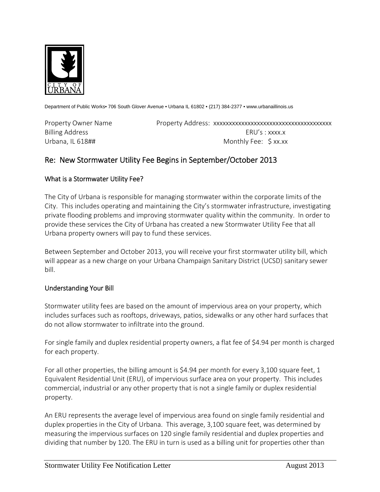

Department of Public Works• 706 South Glover Avenue • Urbana IL 61802 • (217) 384-2377 • www.urbanaillinois.us

Property Owner Name Property Address: xxxxxxxxxxxxxxxxxxxxxxxxxxxxxxxxxxxxxx Billing Address **ERU's** : xxxx.x Urbana, IL 618## Monthly Fee: \$ xx.xx

# Re: New Stormwater Utility Fee Begins in September/October 2013

### What is a Stormwater Utility Fee?

The City of Urbana is responsible for managing stormwater within the corporate limits of the City. This includes operating and maintaining the City's stormwater infrastructure, investigating private flooding problems and improving stormwater quality within the community. In order to provide these services the City of Urbana has created a new Stormwater Utility Fee that all Urbana property owners will pay to fund these services.

Between September and October 2013, you will receive your first stormwater utility bill, which will appear as a new charge on your Urbana Champaign Sanitary District (UCSD) sanitary sewer bill.

#### Understanding Your Bill

Stormwater utility fees are based on the amount of impervious area on your property, which includes surfaces such as rooftops, driveways, patios, sidewalks or any other hard surfaces that do not allow stormwater to infiltrate into the ground.

For single family and duplex residential property owners, a flat fee of \$4.94 per month is charged for each property.

For all other properties, the billing amount is \$4.94 per month for every 3,100 square feet, 1 Equivalent Residential Unit (ERU), of impervious surface area on your property. This includes commercial, industrial or any other property that is not a single family or duplex residential property.

An ERU represents the average level of impervious area found on single family residential and duplex properties in the City of Urbana. This average, 3,100 square feet, was determined by measuring the impervious surfaces on 120 single family residential and duplex properties and dividing that number by 120. The ERU in turn is used as a billing unit for properties other than